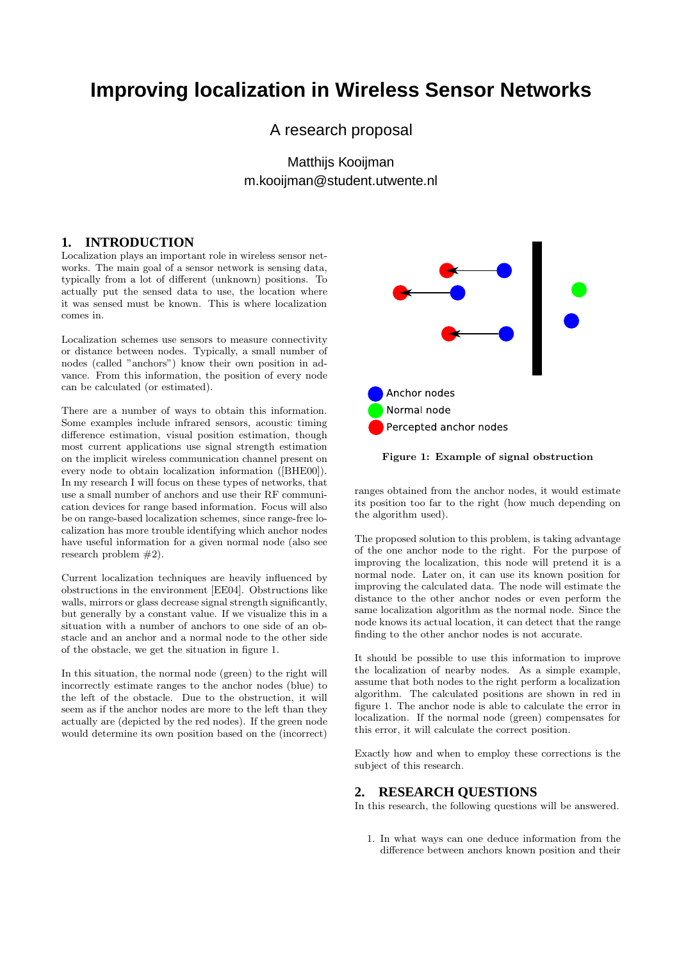# **Improving localization in Wireless Sensor Networks**

A research proposal

Matthijs Kooijman m.kooijman@student.utwente.nl

## **1. INTRODUCTION**

Localization plays an important role in wireless sensor networks. The main goal of a sensor network is sensing data, typically from a lot of different (unknown) positions. To actually put the sensed data to use, the location where it was sensed must be known. This is where localization comes in.

Localization schemes use sensors to measure connectivity or distance between nodes. Typically, a small number of nodes (called "anchors") know their own position in advance. From this information, the position of every node can be calculated (or estimated).

There are a number of ways to obtain this information. Some examples include infrared sensors, acoustic timing difference estimation, visual position estimation, though most current applications use signal strength estimation on the implicit wireless communication channel present on every node to obtain localization information ([BHE00]). In my research I will focus on these types of networks, that use a small number of anchors and use their RF communication devices for range based information. Focus will also be on range-based localization schemes, since range-free localization has more trouble identifying which anchor nodes have useful information for a given normal node (also see research problem #2).

Current localization techniques are heavily influenced by obstructions in the environment [EE04]. Obstructions like walls, mirrors or glass decrease signal strength significantly, but generally by a constant value. If we visualize this in a situation with a number of anchors to one side of an obstacle and an anchor and a normal node to the other side of the obstacle, we get the situation in figure 1.

In this situation, the normal node (green) to the right will incorrectly estimate ranges to the anchor nodes (blue) to the left of the obstacle. Due to the obstruction, it will seem as if the anchor nodes are more to the left than they actually are (depicted by the red nodes). If the green node would determine its own position based on the (incorrect)



Figure 1: Example of signal obstruction

ranges obtained from the anchor nodes, it would estimate its position too far to the right (how much depending on the algorithm used).

The proposed solution to this problem, is taking advantage of the one anchor node to the right. For the purpose of improving the localization, this node will pretend it is a normal node. Later on, it can use its known position for improving the calculated data. The node will estimate the distance to the other anchor nodes or even perform the same localization algorithm as the normal node. Since the node knows its actual location, it can detect that the range finding to the other anchor nodes is not accurate.

It should be possible to use this information to improve the localization of nearby nodes. As a simple example, assume that both nodes to the right perform a localization algorithm. The calculated positions are shown in red in figure 1. The anchor node is able to calculate the error in localization. If the normal node (green) compensates for this error, it will calculate the correct position.

Exactly how and when to employ these corrections is the subject of this research.

# **2. RESEARCH QUESTIONS**

In this research, the following questions will be answered.

1. In what ways can one deduce information from the difference between anchors known position and their